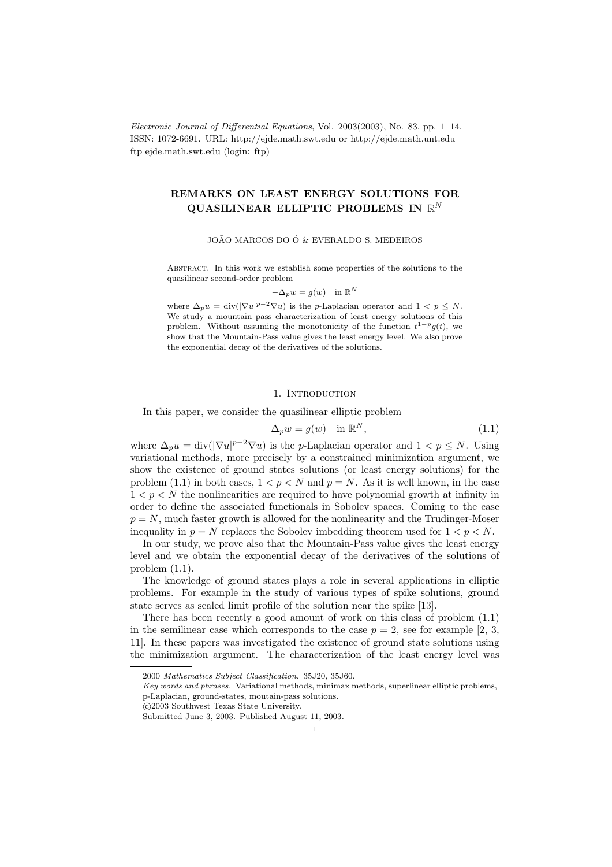Electronic Journal of Differential Equations, Vol. 2003(2003), No. 83, pp. 1–14. ISSN: 1072-6691. URL: http://ejde.math.swt.edu or http://ejde.math.unt.edu ftp ejde.math.swt.edu (login: ftp)

# REMARKS ON LEAST ENERGY SOLUTIONS FOR QUASILINEAR ELLIPTIC PROBLEMS IN  $\mathbb{R}^N$

#### JOÃO MARCOS DO Ó & EVERALDO S. MEDEIROS

Abstract. In this work we establish some properties of the solutions to the quasilinear second-order problem

$$
-\Delta_p w = g(w) \quad \text{in } \mathbb{R}^N
$$

where  $\Delta_p u = \text{div}(|\nabla u|^{p-2} \nabla u)$  is the *p*-Laplacian operator and  $1 < p \leq N$ . We study a mountain pass characterization of least energy solutions of this problem. Without assuming the monotonicity of the function  $t^{1-p}g(t)$ , we show that the Mountain-Pass value gives the least energy level. We also prove the exponential decay of the derivatives of the solutions.

### 1. INTRODUCTION

In this paper, we consider the quasilinear elliptic problem

$$
-\Delta_p w = g(w) \quad \text{in } \mathbb{R}^N,
$$
\n(1.1)

where  $\Delta_p u = \text{div}(|\nabla u|^{p-2} \nabla u)$  is the *p*-Laplacian operator and  $1 < p \leq N$ . Using variational methods, more precisely by a constrained minimization argument, we show the existence of ground states solutions (or least energy solutions) for the problem (1.1) in both cases,  $1 < p < N$  and  $p = N$ . As it is well known, in the case  $1 < p < N$  the nonlinearities are required to have polynomial growth at infinity in order to define the associated functionals in Sobolev spaces. Coming to the case  $p = N$ , much faster growth is allowed for the nonlinearity and the Trudinger-Moser inequality in  $p = N$  replaces the Sobolev imbedding theorem used for  $1 < p < N$ .

In our study, we prove also that the Mountain-Pass value gives the least energy level and we obtain the exponential decay of the derivatives of the solutions of problem (1.1).

The knowledge of ground states plays a role in several applications in elliptic problems. For example in the study of various types of spike solutions, ground state serves as scaled limit profile of the solution near the spike [13].

There has been recently a good amount of work on this class of problem (1.1) in the semilinear case which corresponds to the case  $p = 2$ , see for example [2, 3, 11]. In these papers was investigated the existence of ground state solutions using the minimization argument. The characterization of the least energy level was

c 2003 Southwest Texas State University.

<sup>2000</sup> Mathematics Subject Classification. 35J20, 35J60.

Key words and phrases. Variational methods, minimax methods, superlinear elliptic problems, p-Laplacian, ground-states, moutain-pass solutions.

Submitted June 3, 2003. Published August 11, 2003.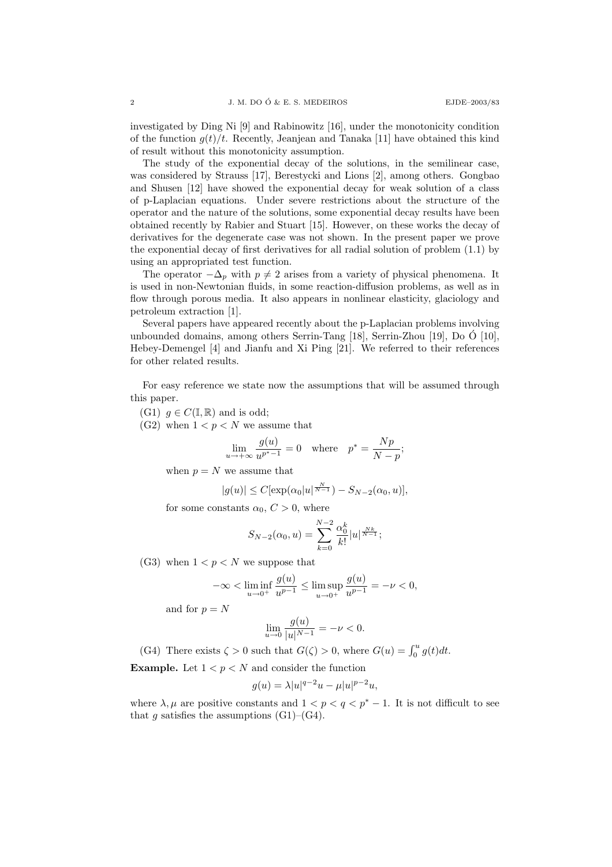investigated by Ding Ni [9] and Rabinowitz [16], under the monotonicity condition of the function  $g(t)/t$ . Recently, Jeanjean and Tanaka [11] have obtained this kind of result without this monotonicity assumption.

The study of the exponential decay of the solutions, in the semilinear case, was considered by Strauss [17], Berestycki and Lions [2], among others. Gongbao and Shusen [12] have showed the exponential decay for weak solution of a class of p-Laplacian equations. Under severe restrictions about the structure of the operator and the nature of the solutions, some exponential decay results have been obtained recently by Rabier and Stuart [15]. However, on these works the decay of derivatives for the degenerate case was not shown. In the present paper we prove the exponential decay of first derivatives for all radial solution of problem (1.1) by using an appropriated test function.

The operator  $-\Delta_p$  with  $p \neq 2$  arises from a variety of physical phenomena. It is used in non-Newtonian fluids, in some reaction-diffusion problems, as well as in flow through porous media. It also appears in nonlinear elasticity, glaciology and petroleum extraction [1].

Several papers have appeared recently about the p-Laplacian problems involving unbounded domains, among others Serrin-Tang  $[18]$ , Serrin-Zhou  $[19]$ , Do  $\acute{O}$   $[10]$ , Hebey-Demengel [4] and Jianfu and Xi Ping [21]. We referred to their references for other related results.

For easy reference we state now the assumptions that will be assumed through this paper.

(G1)  $q \in C(\mathbb{I}, \mathbb{R})$  and is odd;

(G2) when  $1 < p < N$  we assume that

$$
\lim_{u \to +\infty} \frac{g(u)}{u^{p^*-1}} = 0 \quad \text{where} \quad p^* = \frac{Np}{N-p};
$$

when  $p = N$  we assume that

$$
|g(u)| \le C[\exp(\alpha_0|u|^{\frac{N}{N-1}}) - S_{N-2}(\alpha_0, u)],
$$

for some constants  $\alpha_0, C > 0$ , where

$$
S_{N-2}(\alpha_0, u) = \sum_{k=0}^{N-2} \frac{\alpha_0^k}{k!} |u|^{\frac{Nk}{N-1}};
$$

(G3) when  $1 < p < N$  we suppose that

$$
-\infty < \liminf_{u \to 0^+} \frac{g(u)}{u^{p-1}} \le \limsup_{u \to 0^+} \frac{g(u)}{u^{p-1}} = -\nu < 0,
$$

and for  $p = N$ 

$$
\lim_{u \to 0} \frac{g(u)}{|u|^{N-1}} = -\nu < 0.
$$

(G4) There exists  $\zeta > 0$  such that  $G(\zeta) > 0$ , where  $G(u) = \int_0^u g(t) dt$ .

**Example.** Let  $1 < p < N$  and consider the function

$$
g(u) = \lambda |u|^{q-2}u - \mu |u|^{p-2}u,
$$

where  $\lambda, \mu$  are positive constants and  $1 < p < q < p^* - 1$ . It is not difficult to see that g satisfies the assumptions  $(G1)$ – $(G4)$ .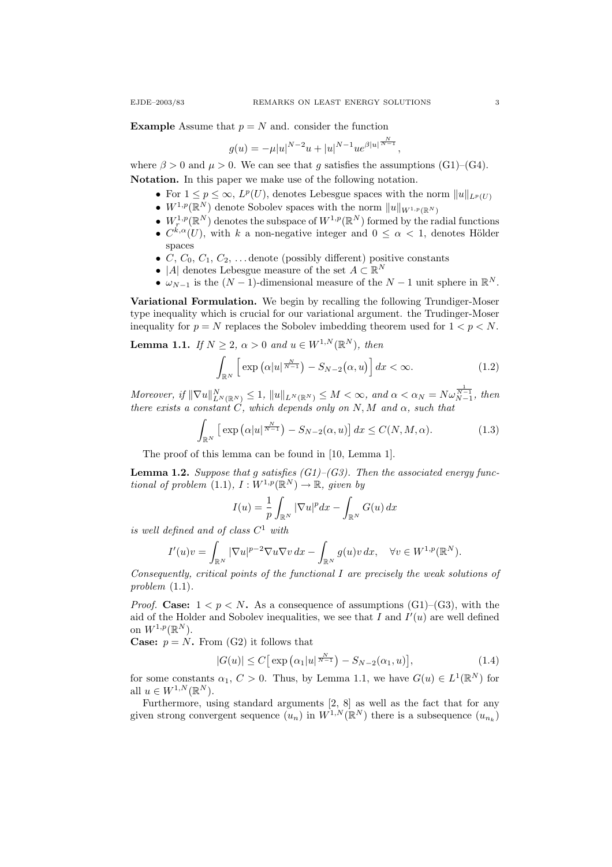**Example** Assume that  $p = N$  and. consider the function

$$
g(u) = -\mu |u|^{N-2}u + |u|^{N-1}u e^{\beta |u|^{\frac{N}{N-1}}},
$$

where  $\beta > 0$  and  $\mu > 0$ . We can see that q satisfies the assumptions (G1)–(G4). Notation. In this paper we make use of the following notation.

- For  $1 \le p \le \infty$ ,  $L^p(U)$ , denotes Lebesgue spaces with the norm  $||u||_{L^p(U)}$
- $W^{1,p}(\mathbb{R}^N)$  denote Sobolev spaces with the norm  $||u||_{W^{1,p}(\mathbb{R}^N)}$
- $W^{1,p}_r(\mathbb{R}^N)$  denotes the subspace of  $W^{1,p}(\mathbb{R}^N)$  formed by the radial functions
- $C^{k,\alpha}(U)$ , with k a non-negative integer and  $0 \leq \alpha < 1$ , denotes Hölder spaces
- C,  $C_0$ ,  $C_1$ ,  $C_2$ , ... denote (possibly different) positive constants
- |A| denotes Lebesgue measure of the set  $A \subset \mathbb{R}^N$
- $\omega_{N-1}$  is the  $(N-1)$ -dimensional measure of the  $N-1$  unit sphere in  $\mathbb{R}^N$ .

Variational Formulation. We begin by recalling the following Trundiger-Moser type inequality which is crucial for our variational argument. the Trudinger-Moser inequality for  $p = N$  replaces the Sobolev imbedding theorem used for  $1 < p < N$ .

**Lemma 1.1.** If  $N \geq 2$ ,  $\alpha > 0$  and  $u \in W^{1,N}(\mathbb{R}^N)$ , then

$$
\int_{\mathbb{R}^N} \left[ \exp\left( \alpha |u|^{\frac{N}{N-1}} \right) - S_{N-2}(\alpha, u) \right] dx < \infty. \tag{1.2}
$$

Moreover, if  $\|\nabla u\|_{L^N(\mathbb{R}^N)}^N \leq 1$ ,  $\|u\|_{L^N(\mathbb{R}^N)} \leq M < \infty$ , and  $\alpha < \alpha_N = N\omega_{N-1}^{\frac{1}{N-1}}$ , then there exists a constant C, which depends only on N, M and  $\alpha$ , such that

$$
\int_{\mathbb{R}^N} \left[ \exp\left( \alpha |u|^{\frac{N}{N-1}} \right) - S_{N-2}(\alpha, u) \right] dx \le C(N, M, \alpha). \tag{1.3}
$$

The proof of this lemma can be found in [10, Lemma 1].

**Lemma 1.2.** Suppose that g satisfies  $(G1)$ – $(G3)$ . Then the associated energy functional of problem  $(1.1), I: W^{1,p}(\mathbb{R}^N) \to \mathbb{R},$  given by

$$
I(u) = \frac{1}{p} \int_{\mathbb{R}^N} |\nabla u|^p dx - \int_{\mathbb{R}^N} G(u) dx
$$

is well defined and of class  $C^1$  with

$$
I'(u)v = \int_{\mathbb{R}^N} |\nabla u|^{p-2} \nabla u \nabla v \, dx - \int_{\mathbb{R}^N} g(u)v \, dx, \quad \forall v \in W^{1,p}(\mathbb{R}^N).
$$

Consequently, critical points of the functional I are precisely the weak solutions of problem (1.1).

*Proof.* Case:  $1 < p < N$ . As a consequence of assumptions (G1)–(G3), with the aid of the Holder and Sobolev inequalities, we see that  $I$  and  $I'(u)$  are well defined on  $W^{1,p}(\mathbb{R}^N)$ .

**Case:**  $p = N$ . From (G2) it follows that

$$
|G(u)| \le C \big[ \exp\big(\alpha_1 |u|^{\frac{N}{N-1}}\big) - S_{N-2}(\alpha_1, u) \big],\tag{1.4}
$$

for some constants  $\alpha_1, C > 0$ . Thus, by Lemma 1.1, we have  $G(u) \in L^1(\mathbb{R}^N)$  for all  $u \in W^{1,N}(\mathbb{R}^N)$ .

Furthermore, using standard arguments [2, 8] as well as the fact that for any given strong convergent sequence  $(u_n)$  in  $W^{1,N}(\mathbb{R}^N)$  there is a subsequence  $(u_{n_k})$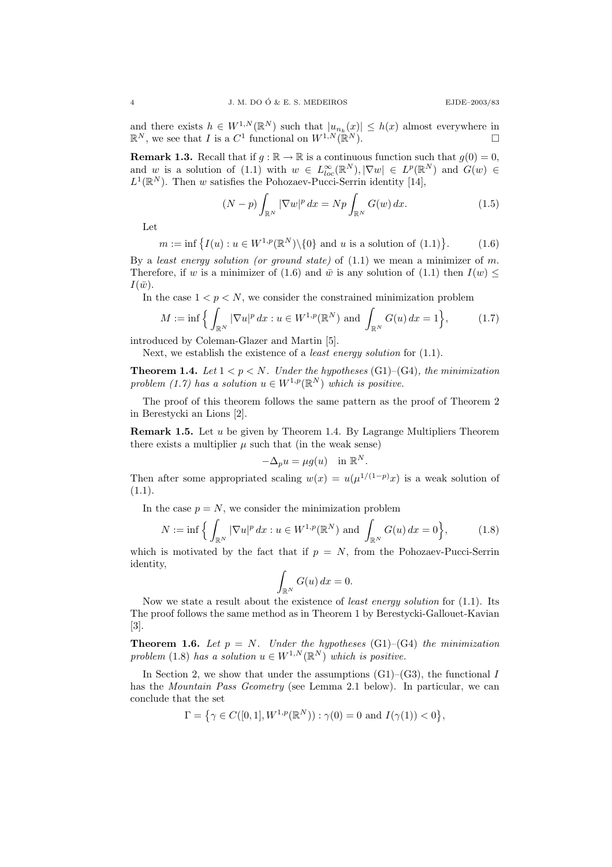and there exists  $h \in W^{1,N}(\mathbb{R}^N)$  such that  $|u_{n_k}(x)| \leq h(x)$  almost everywhere in  $\mathbb{R}^N$ , we see that I is a  $C^1$  functional on  $W^{1,N}(\mathbb{R}^N)$ .

**Remark 1.3.** Recall that if  $g : \mathbb{R} \to \mathbb{R}$  is a continuous function such that  $g(0) = 0$ , and w is a solution of  $(1.1)$  with  $w \in L^{\infty}_{loc}(\mathbb{R}^{N}), |\nabla w| \in L^{p}(\mathbb{R}^{N})$  and  $G(w) \in$  $L^1(\mathbb{R}^N)$ . Then w satisfies the Pohozaev-Pucci-Serrin identity [14],

$$
(N-p)\int_{\mathbb{R}^N} |\nabla w|^p dx = Np \int_{\mathbb{R}^N} G(w) dx.
$$
 (1.5)

Let

$$
m := \inf \left\{ I(u) : u \in W^{1,p}(\mathbb{R}^N) \backslash \{0\} \text{ and } u \text{ is a solution of (1.1)} \right\}.
$$
 (1.6)

By a least energy solution (or ground state) of  $(1.1)$  we mean a minimizer of m. Therefore, if w is a minimizer of (1.6) and  $\bar{w}$  is any solution of (1.1) then  $I(w)$  $I(\bar{w})$ .

In the case  $1 < p < N$ , we consider the constrained minimization problem

$$
M := \inf \Big\{ \int_{\mathbb{R}^N} |\nabla u|^p \, dx : u \in W^{1,p}(\mathbb{R}^N) \text{ and } \int_{\mathbb{R}^N} G(u) \, dx = 1 \Big\},\tag{1.7}
$$

introduced by Coleman-Glazer and Martin [5].

Next, we establish the existence of a *least energy solution* for  $(1.1)$ .

**Theorem 1.4.** Let  $1 < p < N$ . Under the hypotheses (G1)–(G4), the minimization problem (1.7) has a solution  $u \in W^{1,p}(\mathbb{R}^N)$  which is positive.

The proof of this theorem follows the same pattern as the proof of Theorem 2 in Berestycki an Lions [2].

Remark 1.5. Let u be given by Theorem 1.4. By Lagrange Multipliers Theorem there exists a multiplier  $\mu$  such that (in the weak sense)

$$
-\Delta_p u = \mu g(u) \quad \text{in } \mathbb{R}^N.
$$

Then after some appropriated scaling  $w(x) = u(\mu^{1/(1-p)}x)$  is a weak solution of  $(1.1).$ 

In the case  $p = N$ , we consider the minimization problem

$$
N := \inf \Big\{ \int_{\mathbb{R}^N} |\nabla u|^p dx : u \in W^{1,p}(\mathbb{R}^N) \text{ and } \int_{\mathbb{R}^N} G(u) dx = 0 \Big\},\tag{1.8}
$$

which is motivated by the fact that if  $p = N$ , from the Pohozaev-Pucci-Serrin identity,

$$
\int_{\mathbb{R}^N} G(u) \, dx = 0.
$$

Now we state a result about the existence of least energy solution for (1.1). Its The proof follows the same method as in Theorem 1 by Berestycki-Gallouet-Kavian [3].

**Theorem 1.6.** Let  $p = N$ . Under the hypotheses (G1)–(G4) the minimization problem (1.8) has a solution  $u \in W^{1,N}(\mathbb{R}^N)$  which is positive.

In Section 2, we show that under the assumptions  $(G1)$ – $(G3)$ , the functional I has the *Mountain Pass Geometry* (see Lemma 2.1 below). In particular, we can conclude that the set

$$
\Gamma = \{ \gamma \in C([0,1], W^{1,p}(\mathbb{R}^N)) : \gamma(0) = 0 \text{ and } I(\gamma(1)) < 0 \},
$$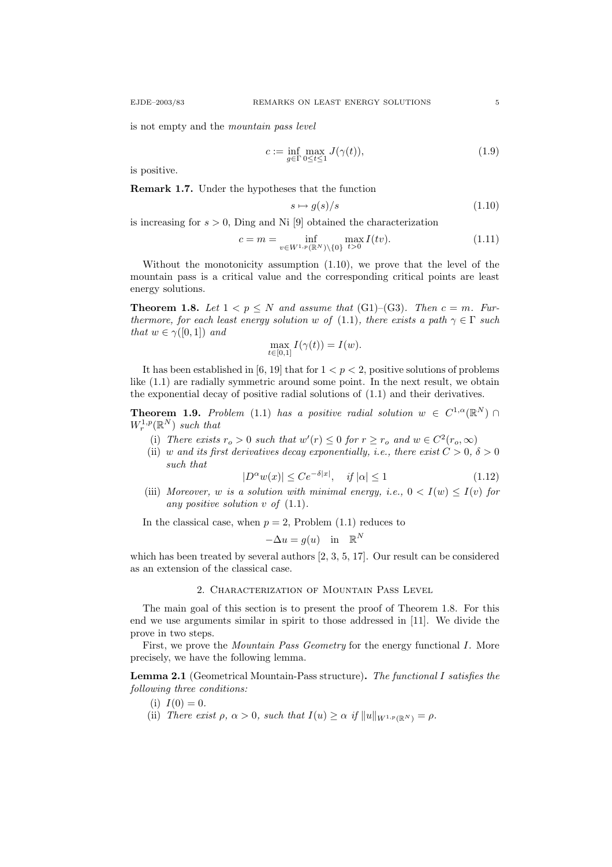$$
c := \inf_{g \in \Gamma} \max_{0 \le t \le 1} J(\gamma(t)),\tag{1.9}
$$

is positive.

Remark 1.7. Under the hypotheses that the function

$$
s \mapsto g(s)/s \tag{1.10}
$$

is increasing for  $s > 0$ , Ding and Ni [9] obtained the characterization

$$
c = m = \inf_{v \in W^{1,p}(\mathbb{R}^N) \setminus \{0\}} \max_{t > 0} I(tv). \tag{1.11}
$$

Without the monotonicity assumption (1.10), we prove that the level of the mountain pass is a critical value and the corresponding critical points are least energy solutions.

**Theorem 1.8.** Let  $1 < p \leq N$  and assume that (G1)–(G3). Then  $c = m$ . Furthermore, for each least energy solution w of (1.1), there exists a path  $\gamma \in \Gamma$  such that  $w \in \gamma([0,1])$  and

$$
\max_{t \in [0,1]} I(\gamma(t)) = I(w).
$$

It has been established in [6, 19] that for  $1 < p < 2$ , positive solutions of problems like (1.1) are radially symmetric around some point. In the next result, we obtain the exponential decay of positive radial solutions of (1.1) and their derivatives.

**Theorem 1.9.** Problem (1.1) has a positive radial solution  $w \in C^{1,\alpha}(\mathbb{R}^N)$  $W_r^{1,p}(\mathbb{R}^N)$  such that

- (i) There exists  $r_o > 0$  such that  $w'(r) \leq 0$  for  $r \geq r_o$  and  $w \in C^2(r_o, \infty)$
- (ii) w and its first derivatives decay exponentially, i.e., there exist  $C > 0$ ,  $\delta > 0$ such that

$$
|D^{\alpha}w(x)| \le Ce^{-\delta|x|}, \quad \text{if } |\alpha| \le 1 \tag{1.12}
$$

(iii) Moreover, w is a solution with minimal energy, i.e.,  $0 < I(w) \leq I(v)$  for any positive solution  $v$  of  $(1.1)$ .

In the classical case, when  $p = 2$ , Problem (1.1) reduces to

$$
-\Delta u = g(u) \quad \text{in} \quad \mathbb{R}^N
$$

which has been treated by several authors [2, 3, 5, 17]. Our result can be considered as an extension of the classical case.

# 2. Characterization of Mountain Pass Level

The main goal of this section is to present the proof of Theorem 1.8. For this end we use arguments similar in spirit to those addressed in [11]. We divide the prove in two steps.

First, we prove the *Mountain Pass Geometry* for the energy functional *I*. More precisely, we have the following lemma.

Lemma 2.1 (Geometrical Mountain-Pass structure). The functional I satisfies the following three conditions:

(i)  $I(0) = 0$ .

(ii) There exist  $\rho, \alpha > 0$ , such that  $I(u) \geq \alpha$  if  $||u||_{W^{1,p}(\mathbb{R}^N)} = \rho$ .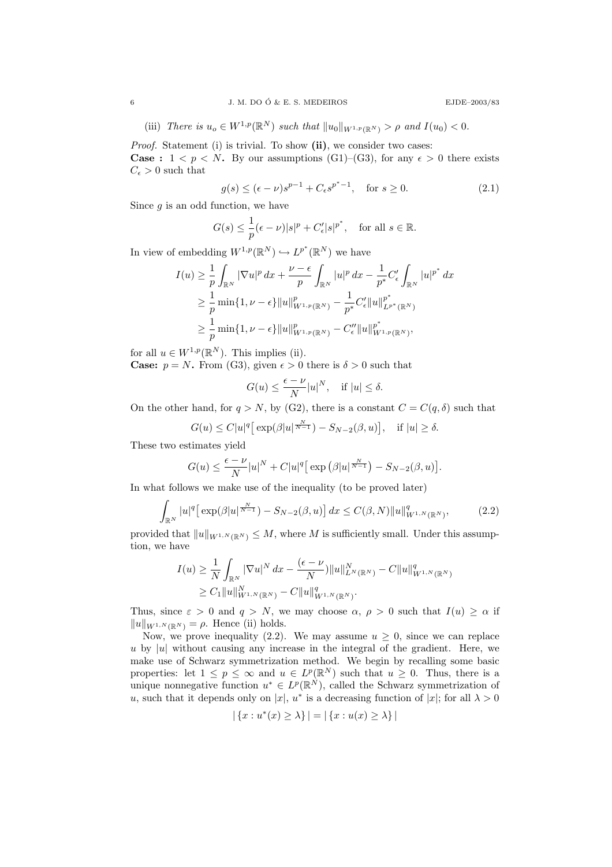(iii) There is 
$$
u_o \in W^{1,p}(\mathbb{R}^N)
$$
 such that  $||u_0||_{W^{1,p}(\mathbb{R}^N)} > \rho$  and  $I(u_0) < 0$ .

Proof. Statement (i) is trivial. To show (ii), we consider two cases: **Case :**  $1 < p < N$ . By our assumptions (G1)–(G3), for any  $\epsilon > 0$  there exists  $C_{\epsilon} > 0$  such that

$$
g(s) \le (\epsilon - \nu)s^{p-1} + C_{\epsilon}s^{p^*-1}, \quad \text{for } s \ge 0.
$$
 (2.1)

Since  $g$  is an odd function, we have

$$
G(s) \le \frac{1}{p}(\epsilon - \nu)|s|^p + C'_{\epsilon}|s|^{p^*}, \quad \text{for all } s \in \mathbb{R}.
$$

In view of embedding  $W^{1,p}(\mathbb{R}^N) \hookrightarrow L^{p^*}(\mathbb{R}^N)$  we have

$$
I(u) \geq \frac{1}{p} \int_{\mathbb{R}^N} |\nabla u|^p \, dx + \frac{\nu - \epsilon}{p} \int_{\mathbb{R}^N} |u|^p \, dx - \frac{1}{p^*} C'_{\epsilon} \int_{\mathbb{R}^N} |u|^{p^*} \, dx
$$
  
\n
$$
\geq \frac{1}{p} \min\{1, \nu - \epsilon\} ||u||_{W^{1,p}(\mathbb{R}^N)}^p - \frac{1}{p^*} C'_{\epsilon} ||u||_{L^{p^*}(\mathbb{R}^N)}^{p^*}
$$
  
\n
$$
\geq \frac{1}{p} \min\{1, \nu - \epsilon\} ||u||_{W^{1,p}(\mathbb{R}^N)}^p - C''_{\epsilon} ||u||_{W^{1,p}(\mathbb{R}^N)}^{p^*},
$$

for all  $u \in W^{1,p}(\mathbb{R}^N)$ . This implies (ii).

**Case:**  $p = N$ . From (G3), given  $\epsilon > 0$  there is  $\delta > 0$  such that

$$
G(u)\leq \frac{\epsilon-\nu}{N}|u|^N,\quad\text{if}\ |u|\leq \delta.
$$

On the other hand, for  $q > N$ , by (G2), there is a constant  $C = C(q, \delta)$  such that

$$
G(u) \le C|u|^q \big[ \exp(\beta |u|^{\frac{N}{N-1}}) - S_{N-2}(\beta, u) \big], \quad \text{if } |u| \ge \delta.
$$

These two estimates yield

$$
G(u) \leq \frac{\epsilon - \nu}{N} |u|^N + C|u|^q \Big[ \exp \left( \beta |u|^{\frac{N}{N-1}} \right) - S_{N-2}(\beta, u) \Big].
$$

In what follows we make use of the inequality (to be proved later)

$$
\int_{\mathbb{R}^N} |u|^q \left[ \exp(\beta |u|^{\frac{N}{N-1}}) - S_{N-2}(\beta, u) \right] dx \le C(\beta, N) \|u\|_{W^{1,N}(\mathbb{R}^N)}^q,
$$
\n(2.2)

provided that  $||u||_{W^{1,N}(\mathbb{R}^N)} \leq M$ , where M is sufficiently small. Under this assumption, we have

$$
I(u) \geq \frac{1}{N} \int_{\mathbb{R}^N} |\nabla u|^N dx - \frac{(\epsilon - \nu)}{N} ||u||_{L^N(\mathbb{R}^N)}^N - C ||u||_{W^{1,N}(\mathbb{R}^N)}^q
$$
  
\n
$$
\geq C_1 ||u||_{W^{1,N}(\mathbb{R}^N)}^N - C ||u||_{W^{1,N}(\mathbb{R}^N)}^q.
$$

Thus, since  $\varepsilon > 0$  and  $q > N$ , we may choose  $\alpha$ ,  $\rho > 0$  such that  $I(u) \ge \alpha$  if  $||u||_{W^{1,N}(\mathbb{R}^N)} = \rho$ . Hence (ii) holds.

Now, we prove inequality (2.2). We may assume  $u \geq 0$ , since we can replace u by |u| without causing any increase in the integral of the gradient. Here, we make use of Schwarz symmetrization method. We begin by recalling some basic properties: let  $1 \leq p \leq \infty$  and  $u \in L^p(\mathbb{R}^N)$  such that  $u \geq 0$ . Thus, there is a unique nonnegative function  $u^* \in L^p(\mathbb{R}^N)$ , called the Schwarz symmetrization of u, such that it depends only on |x|, u<sup>\*</sup> is a decreasing function of |x|; for all  $\lambda > 0$ 

$$
|\{x: u^*(x) \ge \lambda\}| = |\{x: u(x) \ge \lambda\}|
$$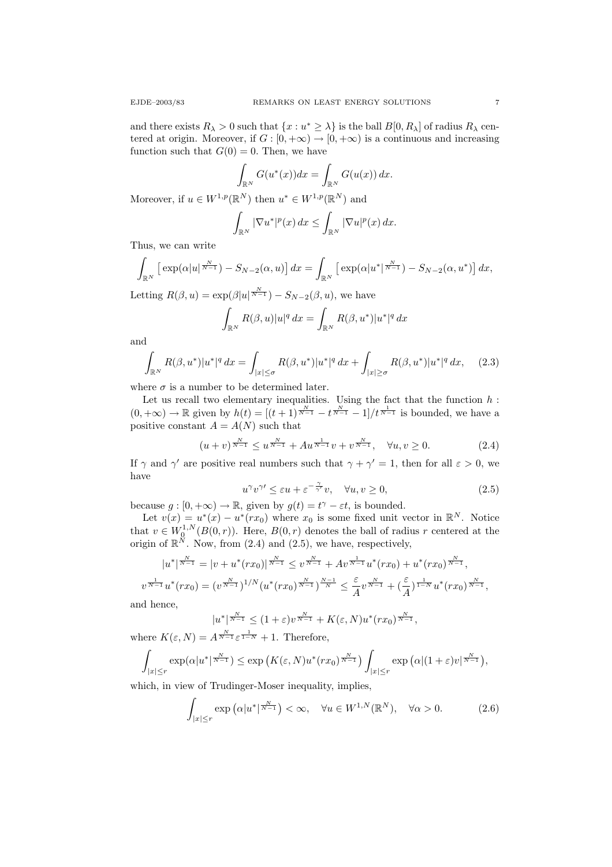and there exists  $R_{\lambda} > 0$  such that  $\{x : u^* \geq \lambda\}$  is the ball  $B[0, R_{\lambda}]$  of radius  $R_{\lambda}$  centered at origin. Moreover, if  $G : [0, +\infty) \to [0, +\infty)$  is a continuous and increasing function such that  $G(0) = 0$ . Then, we have

$$
\int_{\mathbb{R}^N} G(u^*(x))dx = \int_{\mathbb{R}^N} G(u(x)) dx.
$$

Moreover, if  $u \in W^{1,p}(\mathbb{R}^N)$  then  $u^* \in W^{1,p}(\mathbb{R}^N)$  and

$$
\int_{\mathbb{R}^N} |\nabla u^*|^p(x) dx \leq \int_{\mathbb{R}^N} |\nabla u|^p(x) dx.
$$

Thus, we can write

$$
\int_{\mathbb{R}^N} \left[ \exp(\alpha |u|^{\frac{N}{N-1}}) - S_{N-2}(\alpha, u) \right] dx = \int_{\mathbb{R}^N} \left[ \exp(\alpha |u^*|^{\frac{N}{N-1}}) - S_{N-2}(\alpha, u^*) \right] dx,
$$

Letting  $R(\beta, u) = \exp(\beta |u|^{\frac{N}{N-1}}) - S_{N-2}(\beta, u)$ , we have

$$
\int_{\mathbb{R}^N} R(\beta, u) |u|^q dx = \int_{\mathbb{R}^N} R(\beta, u^*) |u^*|^q dx
$$

and

$$
\int_{\mathbb{R}^N} R(\beta, u^*) |u^*|^q \, dx = \int_{|x| \le \sigma} R(\beta, u^*) |u^*|^q \, dx + \int_{|x| \ge \sigma} R(\beta, u^*) |u^*|^q \, dx, \tag{2.3}
$$

where  $\sigma$  is a number to be determined later.

Let us recall two elementary inequalities. Using the fact that the function  $h$  :  $(0, +\infty) \to \mathbb{R}$  given by  $h(t) = \frac{(t+1)^{\frac{N}{N-1}} - t^{\frac{N}{N-1}} - 1}{t^{\frac{1}{N-1}}}$  is bounded, we have a positive constant  $A = A(N)$  such that

$$
(u+v)^{\frac{N}{N-1}} \le u^{\frac{N}{N-1}} + Au^{\frac{1}{N-1}}v + v^{\frac{N}{N-1}}, \quad \forall u, v \ge 0.
$$
 (2.4)

If  $\gamma$  and  $\gamma'$  are positive real numbers such that  $\gamma + \gamma' = 1$ , then for all  $\varepsilon > 0$ , we have

$$
u^{\gamma}v^{\gamma} \leq \varepsilon u + \varepsilon^{-\frac{\gamma}{\gamma'}}v, \quad \forall u, v \geq 0,
$$
\n(2.5)

because  $g: [0, +\infty) \to \mathbb{R}$ , given by  $g(t) = t^{\gamma} - \varepsilon t$ , is bounded.

Let  $v(x) = u^*(x) - u^*(rx_0)$  where  $x_0$  is some fixed unit vector in  $\mathbb{R}^N$ . Notice that  $v \in W_0^{1,N}(B(0,r))$ . Here,  $B(0,r)$  denotes the ball of radius r centered at the origin of  $\mathbb{R}^N$ . Now, from (2.4) and (2.5), we have, respectively,

$$
|u^*|^{\frac{N}{N-1}} = |v + u^*(rx_0)|^{\frac{N}{N-1}} \le v^{\frac{N}{N-1}} + Av^{\frac{1}{N-1}}u^*(rx_0) + u^*(rx_0)^{\frac{N}{N-1}},
$$
  

$$
\frac{1}{N-1}u^*(rx_0) = (v^{\frac{N}{N-1}})^{1/N}(u^*(rx_0)^{\frac{N}{N-1}})^{\frac{N-1}{N}} \le \frac{\varepsilon}{A}v^{\frac{N}{N-1}} + (\frac{\varepsilon}{A})^{\frac{1}{1-N}}u^*(rx_0)^{\frac{N}{N-1}},
$$

and hence,

 $\upsilon$ 

$$
|u^*|^{\frac{N}{N-1}} \le (1+\varepsilon)v^{\frac{N}{N-1}} + K(\varepsilon, N)u^*(rx_0)^{\frac{N}{N-1}},
$$

where  $K(\varepsilon, N) = A^{\frac{N}{N-1}} \varepsilon^{\frac{1}{1-N}} + 1$ . Therefore,

$$
\int_{|x| \le r} \exp(\alpha |u^*|^{\frac{N}{N-1}}) \le \exp\left(K(\varepsilon, N) u^*(rx_0)^{\frac{N}{N-1}}\right) \int_{|x| \le r} \exp\left(\alpha |(1+\varepsilon)v|^{\frac{N}{N-1}}\right),
$$

which, in view of Trudinger-Moser inequality, implies,

$$
\int_{|x| \le r} \exp\left(\alpha |u^*|^{\frac{N}{N-1}}\right) < \infty, \quad \forall u \in W^{1,N}(\mathbb{R}^N), \quad \forall \alpha > 0. \tag{2.6}
$$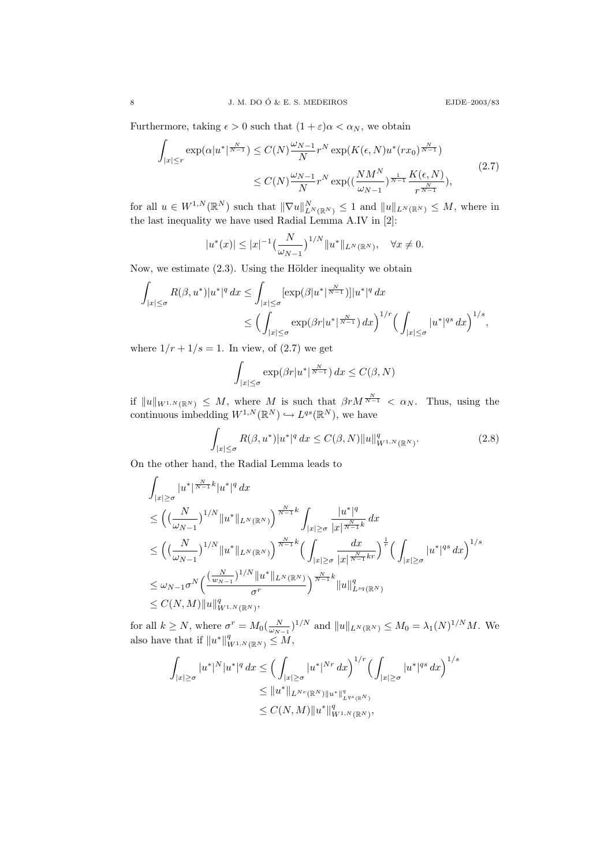Furthermore, taking  $\epsilon > 0$  such that  $(1 + \epsilon)\alpha < \alpha_N$ , we obtain

$$
\int_{|x| \le r} \exp(\alpha |u^*|^{\frac{N}{N-1}}) \le C(N) \frac{\omega_{N-1}}{N} r^N \exp(K(\epsilon, N) u^*(rx_0)^{\frac{N}{N-1}})
$$
\n
$$
\le C(N) \frac{\omega_{N-1}}{N} r^N \exp((\frac{N M^N}{\omega_{N-1}})^{\frac{1}{N-1}} \frac{K(\epsilon, N)}{r^{\frac{N}{N-1}}}),
$$
\n(2.7)

for all  $u \in W^{1,N}(\mathbb{R}^N)$  such that  $\|\nabla u\|_{L^N(\mathbb{R}^N)}^N \leq 1$  and  $\|u\|_{L^N(\mathbb{R}^N)} \leq M$ , where in the last inequality we have used Radial Lemma A.IV in [2]:

$$
|u^*(x)| \le |x|^{-1} \left(\frac{N}{\omega_{N-1}}\right)^{1/N} ||u^*||_{L^N(\mathbb{R}^N)}, \quad \forall x \ne 0.
$$

Now, we estimate  $(2.3)$ . Using the Hölder inequality we obtain

$$
\int_{|x| \le \sigma} R(\beta, u^*) |u^*|^q dx \le \int_{|x| \le \sigma} \left[ \exp(\beta |u^*|^{\frac{N}{N-1}}) \right] |u^*|^q dx
$$
  

$$
\le \left( \int_{|x| \le \sigma} \exp(\beta r |u^*|^{\frac{N}{N-1}}) dx \right)^{1/r} \left( \int_{|x| \le \sigma} |u^*|^{qs} dx \right)^{1/s},
$$

where  $1/r + 1/s = 1$ . In view, of (2.7) we get

$$
\int_{|x| \le \sigma} \exp(\beta r |u^*|^{\frac{N}{N-1}}) dx \le C(\beta, N)
$$

if  $||u||_{W^{1,N}(\mathbb{R}^N)} \leq M$ , where M is such that  $\beta r M^{\frac{N}{N-1}} < \alpha_N$ . Thus, using the continuous imbedding  $W^{1,N}(\mathbb{R}^N) \hookrightarrow L^{qs}(\mathbb{R}^N)$ , we have

$$
\int_{|x| \le \sigma} R(\beta, u^*) |u^*|^q dx \le C(\beta, N) \|u\|_{W^{1,N}(\mathbb{R}^N)}^q.
$$
\n(2.8)

On the other hand, the Radial Lemma leads to

$$
\int_{|x|\geq \sigma} |u^*|^{\frac{N}{N-1}k} |u^*|^q dx
$$
\n
$$
\leq \left( \left( \frac{N}{\omega_{N-1}} \right)^{1/N} \|u^* \|_{L^N(\mathbb{R}^N)} \right)^{\frac{N}{N-1}k} \int_{|x|\geq \sigma} \frac{|u^*|^q}{|x|^{\frac{N}{N-1}k}} dx
$$
\n
$$
\leq \left( \left( \frac{N}{\omega_{N-1}} \right)^{1/N} \|u^* \|_{L^N(\mathbb{R}^N)} \right)^{\frac{N}{N-1}k} \left( \int_{|x|\geq \sigma} \frac{dx}{|x|^{\frac{N}{N-1}kr}} \right)^{\frac{1}{r}} \left( \int_{|x|\geq \sigma} |u^*|^{qs} dx \right)^{1/s}
$$
\n
$$
\leq \omega_{N-1} \sigma^N \left( \frac{(\frac{N}{w_{N-1}})^{1/N} \|u^* \|_{L^N(\mathbb{R}^N)}}{\sigma^r} \right)^{\frac{N}{N-1}k} \|u\|_{L^{sq}(\mathbb{R}^N)}^q
$$
\n
$$
\leq C(N,M) \|u\|_{W^{1,N}(\mathbb{R}^N)}^q,
$$

for all  $k \geq N$ , where  $\sigma^r = M_0(\frac{N}{\omega_{N-1}})^{1/N}$  and  $||u||_{L^N(\mathbb{R}^N)} \leq M_0 = \lambda_1(N)^{1/N}M$ . We also have that if  $||u^*||_{W^{1,N}(\mathbb{R}^N)}^q \leq M$ ,

$$
\int_{|x|\geq \sigma} |u^*|^N |u^*|^q dx \leq \Big(\int_{|x|\geq \sigma} |u^*|^{Nr} dx\Big)^{1/r} \Big(\int_{|x|\geq \sigma} |u^*|^{qs} dx\Big)^{1/s}
$$
  
\n
$$
\leq \|u^* \|_{L^{Nr}(\mathbb{R}^N) \|u^* \|_{L^{qs}(\mathbb{R}^N)}^q}
$$
  
\n
$$
\leq C(N, M) \|u^* \|_{W^{1,N}(\mathbb{R}^N)}^q,
$$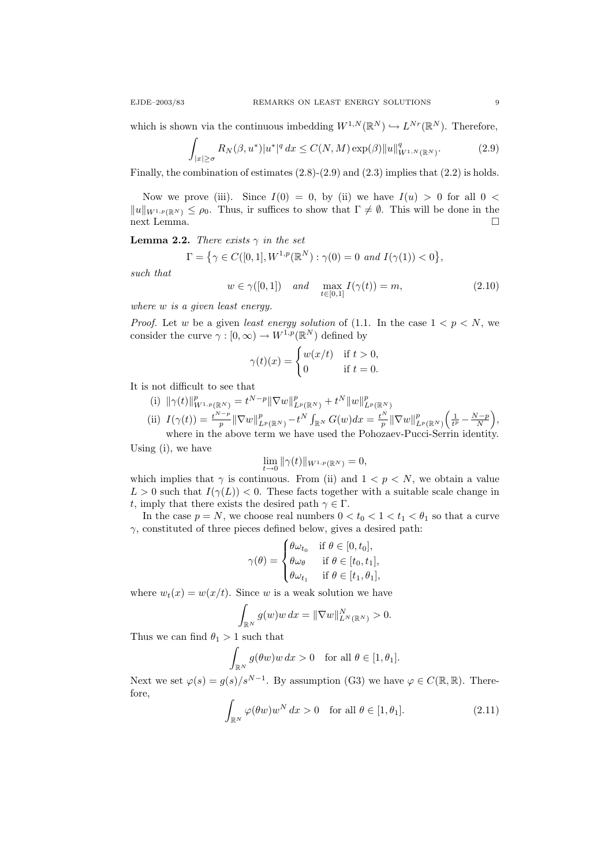which is shown via the continuous imbedding  $W^{1,N}(\mathbb{R}^N) \hookrightarrow L^{Nr}(\mathbb{R}^N)$ . Therefore,

$$
\int_{|x| \ge \sigma} R_N(\beta, u^*) |u^*|^q dx \le C(N, M) \exp(\beta) \|u\|_{W^{1,N}(\mathbb{R}^N)}^q.
$$
 (2.9)

Finally, the combination of estimates  $(2.8)-(2.9)$  and  $(2.3)$  implies that  $(2.2)$  is holds.

Now we prove (iii). Since  $I(0) = 0$ , by (ii) we have  $I(u) > 0$  for all  $0 <$  $||u||_{W^{1,p}(\mathbb{R}^N)} \leq \rho_0$ . Thus, ir suffices to show that  $\Gamma \neq \emptyset$ . This will be done in the next Lemma.

**Lemma 2.2.** There exists  $\gamma$  in the set

$$
\Gamma = \{ \gamma \in C([0,1], W^{1,p}(\mathbb{R}^N) : \gamma(0) = 0 \text{ and } I(\gamma(1)) < 0 \},\
$$

such that

$$
w \in \gamma([0,1]) \quad \text{and} \quad \max_{t \in [0,1]} I(\gamma(t)) = m,\tag{2.10}
$$

where w is a given least energy.

*Proof.* Let w be a given least energy solution of (1.1. In the case  $1 < p < N$ , we consider the curve  $\gamma : [0, \infty) \to W^{1,p}(\mathbb{R}^N)$  defined by

$$
\gamma(t)(x) = \begin{cases} w(x/t) & \text{if } t > 0, \\ 0 & \text{if } t = 0. \end{cases}
$$

It is not difficult to see that

(i)  $\|\gamma(t)\|_{W^{1,p}(\mathbb{R}^N)}^p = t^{N-p} \|\nabla w\|_{L^p(\mathbb{R}^N)}^p + t^N \|w\|_{L^p(\mathbb{R}^N)}^p$ (ii)  $I(\gamma(t)) = \frac{t^{N-p}}{n}$  $\frac{d^{1-p}}{p} \|\nabla w\|_{L^p(\mathbb{R}^N)}^p - t^N \int_{\mathbb{R}^N} G(w) dx = \frac{t^N}{p}$  $\frac{N}{p}\|\nabla w\|_{L^p(\mathbb{R}^N)}^p\bigg(\frac{1}{t^p}-\frac{N-p}{N}\bigg),$ 

where in the above term we have used the Pohozaev-Pucci-Serrin identity. Using (i), we have

$$
\lim_{t \to 0} \|\gamma(t)\|_{W^{1,p}(\mathbb{R}^N)} = 0,
$$

which implies that  $\gamma$  is continuous. From (ii) and  $1 \leq p \leq N$ , we obtain a value  $L > 0$  such that  $I(\gamma(L)) < 0$ . These facts together with a suitable scale change in t, imply that there exists the desired path  $\gamma \in \Gamma$ .

In the case  $p = N$ , we choose real numbers  $0 < t_0 < 1 < t_1 < \theta_1$  so that a curve  $\gamma$ , constituted of three pieces defined below, gives a desired path:

$$
\gamma(\theta) = \begin{cases} \theta \omega_{t_0} & \text{if } \theta \in [0, t_0], \\ \theta \omega_{\theta} & \text{if } \theta \in [t_0, t_1], \\ \theta \omega_{t_1} & \text{if } \theta \in [t_1, \theta_1], \end{cases}
$$

where  $w_t(x) = w(x/t)$ . Since w is a weak solution we have

$$
\int_{\mathbb{R}^N} g(w)w dx = \|\nabla w\|_{L^N(\mathbb{R}^N)}^N > 0.
$$

Thus we can find  $\theta_1 > 1$  such that

$$
\int_{\mathbb{R}^N} g(\theta w) w \, dx > 0 \quad \text{for all } \theta \in [1, \theta_1].
$$

Next we set  $\varphi(s) = g(s)/s^{N-1}$ . By assumption (G3) we have  $\varphi \in C(\mathbb{R}, \mathbb{R})$ . Therefore,

$$
\int_{\mathbb{R}^N} \varphi(\theta w) w^N dx > 0 \quad \text{for all } \theta \in [1, \theta_1]. \tag{2.11}
$$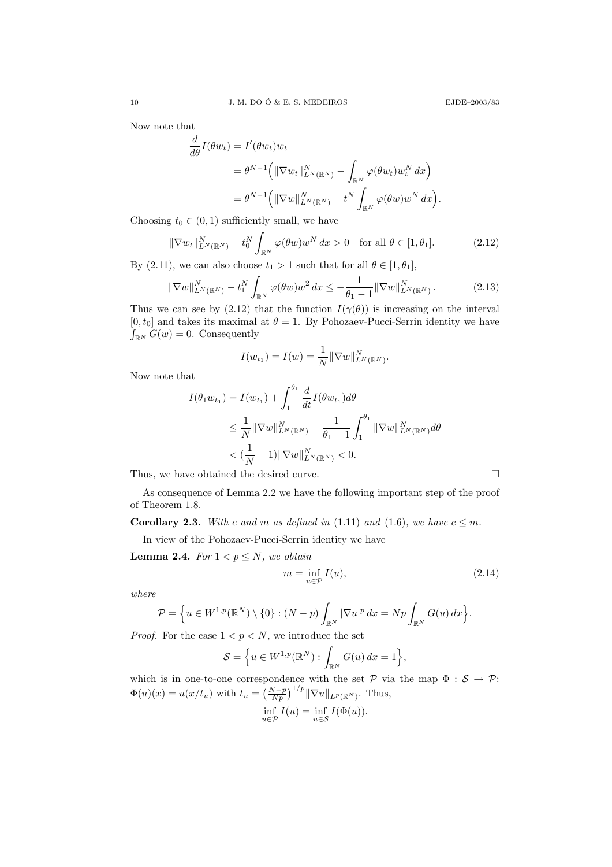Now note that

$$
\frac{d}{d\theta}I(\theta w_t) = I'(\theta w_t)w_t
$$
  
=  $\theta^{N-1}(\|\nabla w_t\|_{L^N(\mathbb{R}^N)}^N - \int_{\mathbb{R}^N} \varphi(\theta w_t)w_t^N dx)$   
=  $\theta^{N-1}(\|\nabla w\|_{L^N(\mathbb{R}^N)}^N - t^N \int_{\mathbb{R}^N} \varphi(\theta w)w^N dx).$ 

Choosing  $t_0 \in (0, 1)$  sufficiently small, we have

$$
\|\nabla w_t\|_{L^N(\mathbb{R}^N)}^N - t_0^N \int_{\mathbb{R}^N} \varphi(\theta w) w^N dx > 0 \quad \text{for all } \theta \in [1, \theta_1]. \tag{2.12}
$$

By (2.11), we can also choose  $t_1 > 1$  such that for all  $\theta \in [1, \theta_1]$ ,

$$
\|\nabla w\|_{L^N(\mathbb{R}^N)}^N - t_1^N \int_{\mathbb{R}^N} \varphi(\theta w) w^2 dx \le -\frac{1}{\theta_1 - 1} \|\nabla w\|_{L^N(\mathbb{R}^N)}^N. \tag{2.13}
$$

Thus we can see by (2.12) that the function  $I(\gamma(\theta))$  is increasing on the interval  $[0, t_0]$  and takes its maximal at  $\theta = 1$ . By Pohozaev-Pucci-Serrin identity we have  $\int_{\mathbb{R}^N} G(w) = 0$ . Consequently

$$
I(w_{t_1}) = I(w) = \frac{1}{N} || \nabla w ||_{L^N(\mathbb{R}^N)}^N.
$$

Now note that

$$
I(\theta_1 w_{t_1}) = I(w_{t_1}) + \int_1^{\theta_1} \frac{d}{dt} I(\theta w_{t_1}) d\theta
$$
  
\n
$$
\leq \frac{1}{N} ||\nabla w||_{L^N(\mathbb{R}^N)}^N - \frac{1}{\theta_1 - 1} \int_1^{\theta_1} ||\nabla w||_{L^N(\mathbb{R}^N)}^N d\theta
$$
  
\n
$$
< (\frac{1}{N} - 1) ||\nabla w||_{L^N(\mathbb{R}^N)}^N < 0.
$$

Thus, we have obtained the desired curve.  $\Box$ 

As consequence of Lemma 2.2 we have the following important step of the proof of Theorem 1.8.

**Corollary 2.3.** With c and m as defined in (1.11) and (1.6), we have  $c \leq m$ .

In view of the Pohozaev-Pucci-Serrin identity we have

Lemma 2.4. For  $1 < p \leq N$ , we obtain

$$
m = \inf_{u \in \mathcal{P}} I(u),\tag{2.14}
$$

where

$$
\mathcal{P} = \left\{ u \in W^{1,p}(\mathbb{R}^N) \setminus \{0\} : (N-p) \int_{\mathbb{R}^N} |\nabla u|^p dx = Np \int_{\mathbb{R}^N} G(u) dx \right\}.
$$

*Proof.* For the case  $1 < p < N$ , we introduce the set

$$
\mathcal{S} = \left\{ u \in W^{1,p}(\mathbb{R}^N) : \int_{\mathbb{R}^N} G(u) \, dx = 1 \right\},\
$$

which is in one-to-one correspondence with the set  $P$  via the map  $\Phi : S \to P$ :  $\Phi(u)(x) = u(x/t_u)$  with  $t_u = \left(\frac{N-p}{Np}\right)^{1/p} \|\nabla u\|_{L^p(\mathbb{R}^N)}$ . Thus,

$$
\inf_{u \in \mathcal{P}} I(u) = \inf_{u \in \mathcal{S}} I(\Phi(u)).
$$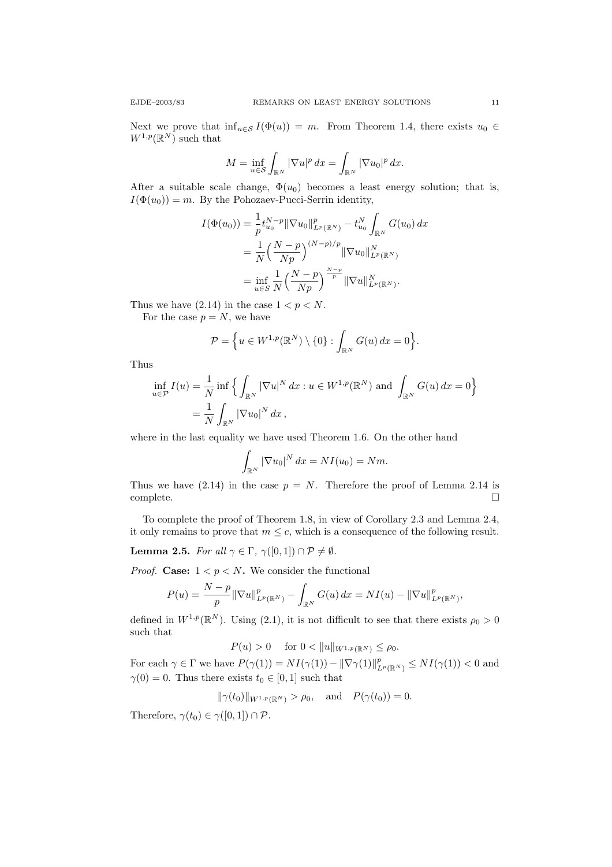,

Next we prove that  $\inf_{u \in \mathcal{S}} I(\Phi(u)) = m$ . From Theorem 1.4, there exists  $u_0 \in$  $W^{1,p}(\mathbb{R}^N)$  such that

$$
M = \inf_{u \in \mathcal{S}} \int_{\mathbb{R}^N} |\nabla u|^p \, dx = \int_{\mathbb{R}^N} |\nabla u_0|^p \, dx.
$$

After a suitable scale change,  $\Phi(u_0)$  becomes a least energy solution; that is,  $I(\Phi(u_0)) = m$ . By the Pohozaev-Pucci-Serrin identity,

$$
I(\Phi(u_0)) = \frac{1}{p} t_{u_0}^{N-p} ||\nabla u_0||_{L^p(\mathbb{R}^N)}^p - t_{u_0}^N \int_{\mathbb{R}^N} G(u_0) dx
$$
  
= 
$$
\frac{1}{N} \left( \frac{N-p}{Np} \right)^{(N-p)/p} ||\nabla u_0||_{L^p(\mathbb{R}^N)}^N
$$
  
= 
$$
\inf_{u \in S} \frac{1}{N} \left( \frac{N-p}{Np} \right)^{\frac{N-p}{p}} ||\nabla u||_{L^p(\mathbb{R}^N)}^N.
$$

Thus we have  $(2.14)$  in the case  $1 < p < N$ .

For the case  $p = N$ , we have

$$
\mathcal{P} = \left\{ u \in W^{1,p}(\mathbb{R}^N) \setminus \{0\} : \int_{\mathbb{R}^N} G(u) \, dx = 0 \right\}.
$$

Thus

$$
\inf_{u \in \mathcal{P}} I(u) = \frac{1}{N} \inf \left\{ \int_{\mathbb{R}^N} |\nabla u|^N dx : u \in W^{1,p}(\mathbb{R}^N) \text{ and } \int_{\mathbb{R}^N} G(u) dx = 0 \right\}
$$
  
=  $\frac{1}{N} \int_{\mathbb{R}^N} |\nabla u_0|^N dx$ ,

where in the last equality we have used Theorem 1.6. On the other hand

$$
\int_{\mathbb{R}^N} |\nabla u_0|^N dx = NI(u_0) = Nm.
$$

Thus we have (2.14) in the case  $p = N$ . Therefore the proof of Lemma 2.14 is  $\Box$ complete.  $\Box$ 

To complete the proof of Theorem 1.8, in view of Corollary 2.3 and Lemma 2.4, it only remains to prove that  $m \leq c$ , which is a consequence of the following result.

**Lemma 2.5.** For all  $\gamma \in \Gamma$ ,  $\gamma([0,1]) \cap \mathcal{P} \neq \emptyset$ .

*Proof.* Case:  $1 < p < N$ . We consider the functional

$$
P(u) = \frac{N-p}{p} \|\nabla u\|_{L^p(\mathbb{R}^N)}^p - \int_{\mathbb{R}^N} G(u) \, dx = NI(u) - \|\nabla u\|_{L^p(\mathbb{R}^N)}^p
$$

defined in  $W^{1,p}(\mathbb{R}^N)$ . Using (2.1), it is not difficult to see that there exists  $\rho_0 > 0$ such that

$$
P(u) > 0
$$
 for  $0 < ||u||_{W^{1,p}(\mathbb{R}^N)} \le \rho_0$ .

For each  $\gamma \in \Gamma$  we have  $P(\gamma(1)) = NI(\gamma(1)) - ||\nabla \gamma(1)||_{L^p(\mathbb{R}^N)}^p \le NI(\gamma(1)) < 0$  and  $\gamma(0) = 0$ . Thus there exists  $t_0 \in [0, 1]$  such that

$$
\|\gamma(t_0)\|_{W^{1,p}(\mathbb{R}^N)} > \rho_0
$$
, and  $P(\gamma(t_0)) = 0$ .

Therefore,  $\gamma(t_0) \in \gamma([0,1]) \cap \mathcal{P}$ .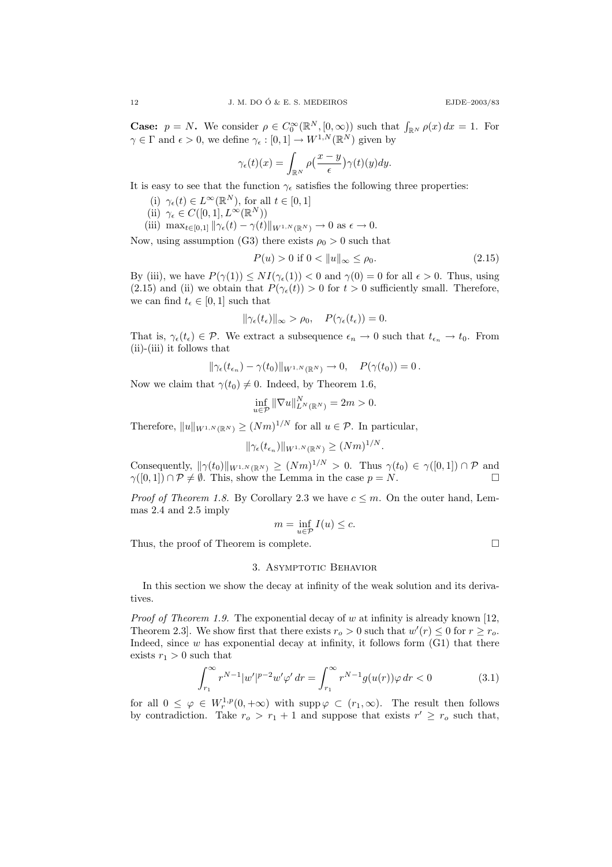**Case:**  $p = N$ . We consider  $\rho \in C_0^{\infty}(\mathbb{R}^N, [0, \infty))$  such that  $\int_{\mathbb{R}^N} \rho(x) dx = 1$ . For  $\gamma \in \Gamma$  and  $\epsilon > 0$ , we define  $\gamma_{\epsilon} : [0, 1] \to W^{1,N}(\mathbb{R}^N)$  given by

$$
\gamma_{\epsilon}(t)(x) = \int_{\mathbb{R}^N} \rho\left(\frac{x-y}{\epsilon}\right) \gamma(t)(y) dy.
$$

It is easy to see that the function  $\gamma_{\epsilon}$  satisfies the following three properties:

(i)  $\gamma_{\epsilon}(t) \in L^{\infty}(\mathbb{R}^{N}),$  for all  $t \in [0,1]$ 

- (ii)  $\gamma_{\epsilon} \in C([0,1],L^{\infty}(\mathbb{R}^{N}))$
- (iii)  $\max_{t \in [0,1]} \|\gamma_{\epsilon}(t) \gamma(t)\|_{W^{1,N}(\mathbb{R}^N)} \to 0 \text{ as } \epsilon \to 0.$

Now, using assumption (G3) there exists  $\rho_0 > 0$  such that

$$
P(u) > 0 \text{ if } 0 < \|u\|_{\infty} \le \rho_0. \tag{2.15}
$$

By (iii), we have  $P(\gamma(1)) \leq NI(\gamma_{\epsilon}(1)) < 0$  and  $\gamma(0) = 0$  for all  $\epsilon > 0$ . Thus, using (2.15) and (ii) we obtain that  $P(\gamma_{\epsilon}(t)) > 0$  for  $t > 0$  sufficiently small. Therefore, we can find  $t_{\epsilon} \in [0, 1]$  such that

$$
\|\gamma_{\epsilon}(t_{\epsilon})\|_{\infty} > \rho_0, \quad P(\gamma_{\epsilon}(t_{\epsilon})) = 0.
$$

That is,  $\gamma_{\epsilon}(t_{\epsilon}) \in \mathcal{P}$ . We extract a subsequence  $\epsilon_n \to 0$  such that  $t_{\epsilon_n} \to t_0$ . From (ii)-(iii) it follows that

$$
\|\gamma_{\epsilon}(t_{\epsilon_n})-\gamma(t_0)\|_{W^{1,N}(\mathbb{R}^N)}\to 0,\quad P(\gamma(t_0))=0\,.
$$

Now we claim that  $\gamma(t_0) \neq 0$ . Indeed, by Theorem 1.6,

$$
\inf_{u \in \mathcal{P}} \|\nabla u\|_{L^N(\mathbb{R}^N)}^N = 2m > 0.
$$

Therefore,  $||u||_{W^{1,N}(\mathbb{R}^N)} \geq (Nm)^{1/N}$  for all  $u \in \mathcal{P}$ . In particular,

$$
\|\gamma_{\epsilon}(t_{\epsilon_n})\|_{W^{1,N}(\mathbb{R}^N)} \ge (Nm)^{1/N}.
$$

Consequently,  $\|\gamma(t_0)\|_{W^{1,N}(\mathbb{R}^N)} \ge (Nm)^{1/N} > 0$ . Thus  $\gamma(t_0) \in \gamma([0,1]) \cap \mathcal{P}$  and  $\gamma([0,1]) \cap \mathcal{P} \neq \emptyset$ . This, show the Lemma in the case  $p = N$ .

*Proof of Theorem 1.8.* By Corollary 2.3 we have  $c \leq m$ . On the outer hand, Lemmas 2.4 and 2.5 imply

$$
m = \inf_{u \in \mathcal{P}} I(u) \le c.
$$

Thus, the proof of Theorem is complete.

# 3. ASYMPTOTIC BEHAVIOR

In this section we show the decay at infinity of the weak solution and its derivatives.

*Proof of Theorem 1.9.* The exponential decay of w at infinity is already known [12, Theorem 2.3. We show first that there exists  $r_o > 0$  such that  $w'(r) \leq 0$  for  $r \geq r_o$ . Indeed, since  $w$  has exponential decay at infinity, it follows form  $(G1)$  that there exists  $r_1 > 0$  such that

$$
\int_{r_1}^{\infty} r^{N-1} |w'|^{p-2} w' \varphi' dr = \int_{r_1}^{\infty} r^{N-1} g(u(r)) \varphi dr < 0
$$
 (3.1)

for all  $0 \leq \varphi \in W_r^{1,p}(0,+\infty)$  with supp $\varphi \subset (r_1,\infty)$ . The result then follows by contradiction. Take  $r_o > r_1 + 1$  and suppose that exists  $r' \geq r_o$  such that,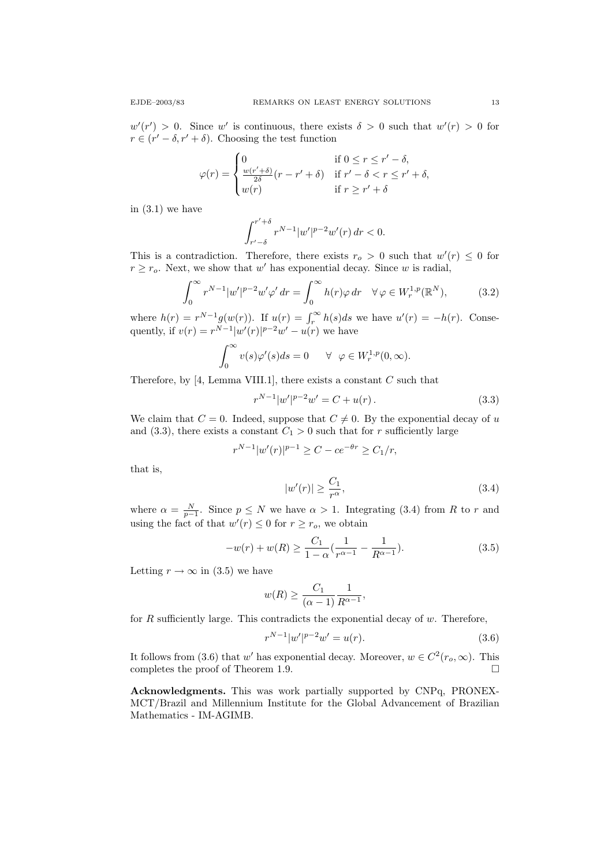$w'(r') > 0$ . Since w' is continuous, there exists  $\delta > 0$  such that  $w'(r) > 0$  for  $r \in (r' - \delta, r' + \delta)$ . Choosing the test function

$$
\varphi(r) = \begin{cases}\n0 & \text{if } 0 \le r \le r' - \delta, \\
\frac{w(r' + \delta)}{2\delta}(r - r' + \delta) & \text{if } r' - \delta < r \le r' + \delta, \\
w(r) & \text{if } r \ge r' + \delta\n\end{cases}
$$

in  $(3.1)$  we have

$$
\int_{r'-\delta}^{r'+\delta} r^{N-1} |w'|^{p-2} w'(r) dr < 0.
$$

This is a contradiction. Therefore, there exists  $r_o > 0$  such that  $w'(r) \leq 0$  for  $r \geq r_o$ . Next, we show that w' has exponential decay. Since w is radial,

$$
\int_0^\infty r^{N-1} |w'|^{p-2} w' \varphi' dr = \int_0^\infty h(r) \varphi dr \quad \forall \varphi \in W_r^{1,p}(\mathbb{R}^N),\tag{3.2}
$$

where  $h(r) = r^{N-1} g(w(r))$ . If  $u(r) = \int_r^{\infty} h(s) ds$  we have  $u'(r) = -h(r)$ . Consequently, if  $v(r) = r^{N-1} |w'(r)|^{p-2} w' - u(r)$  we have

$$
\int_0^\infty v(s)\varphi'(s)ds = 0 \quad \forall \ \varphi \in W^{1,p}_r(0,\infty).
$$

Therefore, by [4, Lemma VIII.1], there exists a constant  $C$  such that

$$
r^{N-1}|w'|^{p-2}w' = C + u(r).
$$
\n(3.3)

We claim that  $C = 0$ . Indeed, suppose that  $C \neq 0$ . By the exponential decay of u and (3.3), there exists a constant  $C_1 > 0$  such that for r sufficiently large

$$
r^{N-1}|w'(r)|^{p-1} \ge C - ce^{-\theta r} \ge C_1/r,
$$

that is,

$$
|w'(r)| \ge \frac{C_1}{r^{\alpha}},\tag{3.4}
$$

where  $\alpha = \frac{N}{p-1}$ . Since  $p \leq N$  we have  $\alpha > 1$ . Integrating (3.4) from R to r and using the fact of that  $w'(r) \leq 0$  for  $r \geq r_o$ , we obtain

$$
-w(r) + w(R) \ge \frac{C_1}{1 - \alpha} \left( \frac{1}{r^{\alpha - 1}} - \frac{1}{R^{\alpha - 1}} \right). \tag{3.5}
$$

Letting  $r \to \infty$  in (3.5) we have

$$
w(R) \ge \frac{C_1}{(\alpha - 1)} \frac{1}{R^{\alpha - 1}},
$$

for  $R$  sufficiently large. This contradicts the exponential decay of  $w$ . Therefore,

$$
r^{N-1}|w'|^{p-2}w' = u(r).
$$
\n(3.6)

It follows from (3.6) that w' has exponential decay. Moreover,  $w \in C^2(r_0, \infty)$ . This completes the proof of Theorem 1.9.  $\Box$ 

Acknowledgments. This was work partially supported by CNPq, PRONEX-MCT/Brazil and Millennium Institute for the Global Advancement of Brazilian Mathematics - IM-AGIMB.